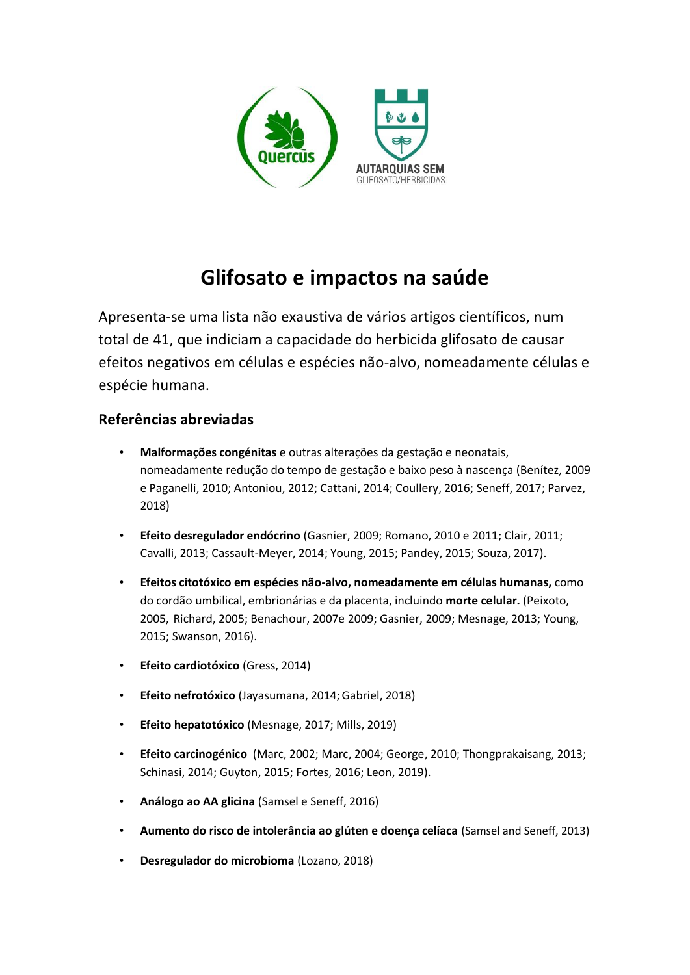

# **Glifosato e impactos na saúde**

Apresenta-se uma lista não exaustiva de vários artigos científicos, num total de 41, que indiciam a capacidade do herbicida glifosato de causar efeitos negativos em células e espécies não-alvo, nomeadamente células e espécie humana.

# **Referências abreviadas**

- **Malformações congénitas** e outras alterações da gestação e neonatais, nomeadamente redução do tempo de gestação e baixo peso à nascença (Benítez, 2009 e Paganelli, 2010; Antoniou, 2012; Cattani, 2014; Coullery, 2016; Seneff, 2017; Parvez, 2018)
- **Efeito desregulador endócrino** (Gasnier, 2009; Romano, 2010 e 2011; Clair, 2011; Cavalli, 2013; Cassault-Meyer, 2014; Young, 2015; Pandey, 2015; Souza, 2017).
- **Efeitos citotóxico em espécies não-alvo, nomeadamente em células humanas,** como do cordão umbilical, embrionárias e da placenta, incluindo **morte celular.** (Peixoto, 2005, Richard, 2005; Benachour, 2007e 2009; Gasnier, 2009; Mesnage, 2013; Young, 2015; Swanson, 2016).
- **Efeito cardiotóxico** (Gress, 2014)
- **Efeito nefrotóxico** (Jayasumana, 2014;Gabriel, 2018)
- **Efeito hepatotóxico** (Mesnage, 2017; Mills, 2019)
- **Efeito carcinogénico** (Marc, 2002; Marc, 2004; George, 2010; Thongprakaisang, 2013; Schinasi, 2014; Guyton, 2015; Fortes, 2016; Leon, 2019).
- **Análogo ao AA glicina** (Samsel e Seneff, 2016)
- **Aumento do risco de intolerância ao glúten e doença celíaca** (Samsel and Seneff, 2013)
- **Desregulador do microbioma** (Lozano, 2018)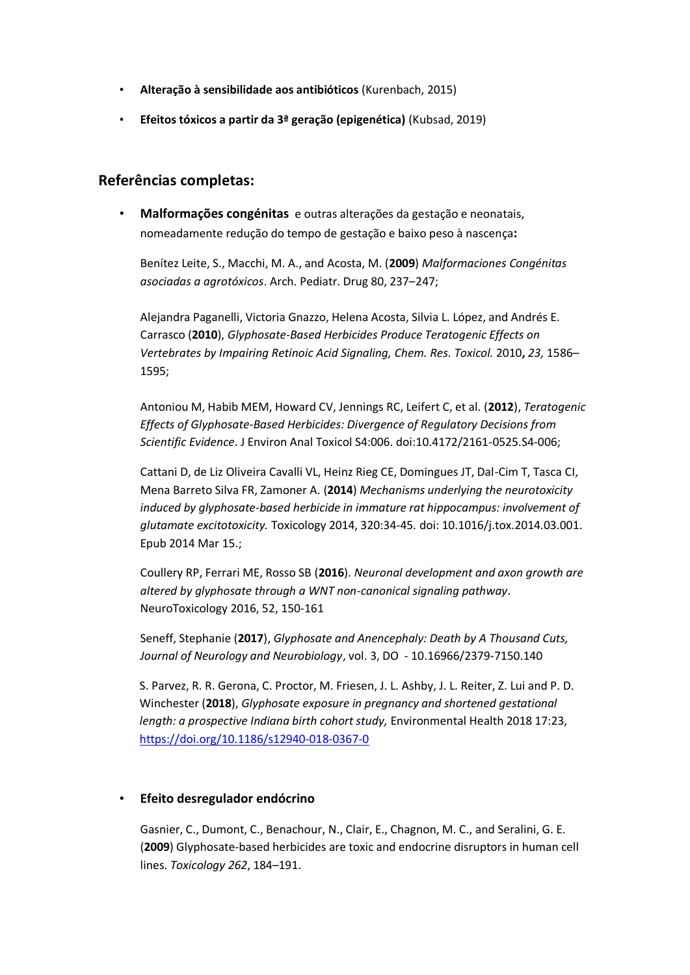- **Alteração à sensibilidade aos antibióticos** (Kurenbach, 2015)
- **Efeitos tóxicos a partir da 3ª geração (epigenética)** (Kubsad, 2019)

# **Referências completas:**

• **Malformações congénitas** e outras alterações da gestação e neonatais, nomeadamente redução do tempo de gestação e baixo peso à nascença**:**

Benítez Leite, S., Macchi, M. A., and Acosta, M. (**2009**) *Malformaciones Congénitas asociadas a agrotóxicos*. Arch. Pediatr. Drug 80, 237–247;

Alejandra Paganelli, Victoria Gnazzo, Helena Acosta, Silvia L. López, and Andrés E. Carrasco (**2010**), *Glyphosate-Based Herbicides Produce Teratogenic Effects on Vertebrates by Impairing Retinoic Acid Signaling, Chem. Res. Toxicol.* 2010**,** *23,* 1586– 1595;

Antoniou M, Habib MEM, Howard CV, Jennings RC, Leifert C, et al. (**2012**), *Teratogenic Effects of Glyphosate-Based Herbicides: Divergence of Regulatory Decisions from Scientific Evidence*. J Environ Anal Toxicol S4:006. doi:10.4172/2161-0525.S4-006;

Cattani D, de Liz Oliveira Cavalli VL, Heinz Rieg CE, Domingues JT, Dal-Cim T, Tasca CI, Mena Barreto Silva FR, Zamoner A. (**2014**) *Mechanisms underlying the neurotoxicity induced by glyphosate-based herbicide in immature rat hippocampus: involvement of glutamate excitotoxicity.* Toxicology 2014, 320:34-45. doi: 10.1016/j.tox.2014.03.001. Epub 2014 Mar 15.;

Coullery RP, Ferrari ME, Rosso SB (**2016**). *Neuronal development and axon growth are altered by glyphosate through a WNT non-canonical signaling pathway*. NeuroToxicology 2016, 52, 150-161

Seneff, Stephanie (**2017**), *Glyphosate and Anencephaly: Death by A Thousand Cuts, Journal of Neurology and Neurobiology*, vol. 3, DO - 10.16966/2379-7150.140

S. Parvez, R. R. Gerona, C. Proctor, M. Friesen, J. L. Ashby, J. L. Reiter, Z. Lui and P. D. Winchester (**2018**), *Glyphosate exposure in pregnancy and shortened gestational length: a prospective Indiana birth cohort study,* Environmental Health 2018 17:23, <https://doi.org/10.1186/s12940-018-0367-0>

#### • **Efeito desregulador endócrino**

Gasnier, C., Dumont, C., Benachour, N., Clair, E., Chagnon, M. C., and Seralini, G. E. (**2009**) Glyphosate-based herbicides are toxic and endocrine disruptors in human cell lines. *Toxicology 262*, 184–191.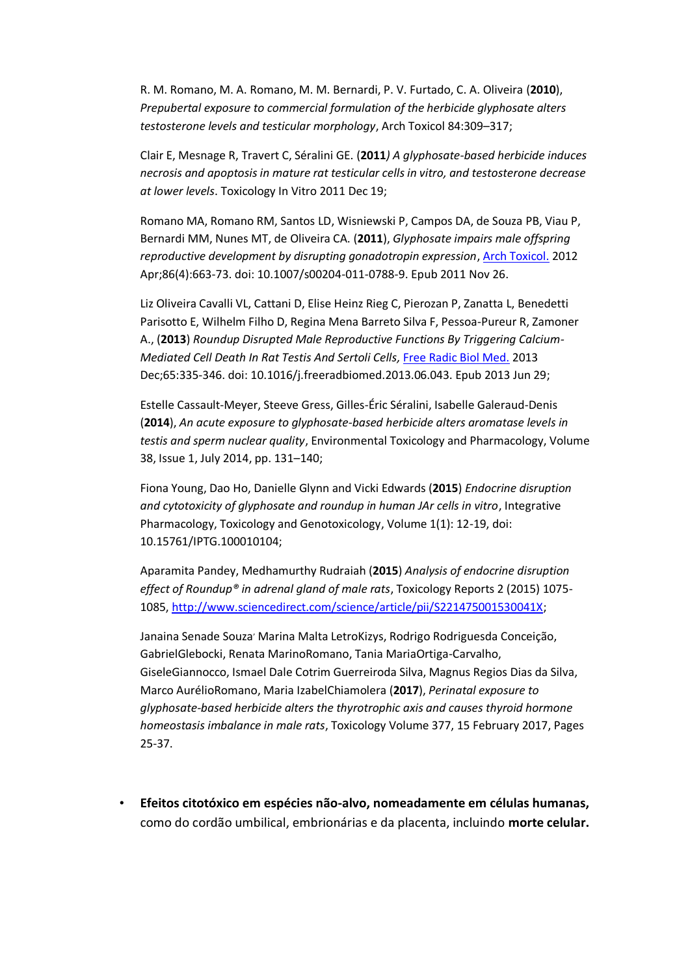R. M. Romano, M. A. Romano, M. M. Bernardi, P. V. Furtado, C. A. Oliveira (**2010**), *Prepubertal exposure to commercial formulation of the herbicide glyphosate alters testosterone levels and testicular morphology*, Arch Toxicol 84:309–317;

Clair E, Mesnage R, Travert C, Séralini GE. (**2011***) A glyphosate-based herbicide induces necrosis and apoptosis in mature rat testicular cells in vitro, and testosterone decrease at lower levels*. Toxicology In Vitro 2011 Dec 19;

Romano MA, Romano RM, Santos LD, Wisniewski P, Campos DA, de Souza PB, Viau P, Bernardi MM, Nunes MT, de Oliveira CA. (**2011**), *Glyphosate impairs male offspring reproductive development by disrupting gonadotropin expression*, [Arch Toxicol.](https://www.ncbi.nlm.nih.gov/pubmed/22120950) 2012 Apr;86(4):663-73. doi: 10.1007/s00204-011-0788-9. Epub 2011 Nov 26.

Liz Oliveira Cavalli VL, Cattani D, Elise Heinz Rieg C, Pierozan P, Zanatta L, Benedetti Parisotto E, Wilhelm Filho D, Regina Mena Barreto Silva F, Pessoa-Pureur R, Zamoner A., (**2013**) *Roundup Disrupted Male Reproductive Functions By Triggering Calcium-Mediated Cell Death In Rat Testis And Sertoli Cells,* [Free Radic Biol Med.](https://www.ncbi.nlm.nih.gov/pubmed/23820267) 2013 Dec;65:335-346. doi: 10.1016/j.freeradbiomed.2013.06.043. Epub 2013 Jun 29;

Estelle Cassault-Meyer, Steeve Gress, Gilles-Éric Séralini, Isabelle Galeraud-Denis (**2014**), *An acute exposure to glyphosate-based herbicide alters aromatase levels in testis and sperm nuclear quality*, Environmental Toxicology and Pharmacology, Volume 38, Issue 1, July 2014, pp. 131–140;

Fiona Young, Dao Ho, Danielle Glynn and Vicki Edwards (**2015**) *Endocrine disruption and cytotoxicity of glyphosate and roundup in human JAr cells in vitro*, Integrative Pharmacology, Toxicology and Genotoxicology, Volume 1(1): 12-19, doi: 10.15761/IPTG.100010104;

Aparamita Pandey, Medhamurthy Rudraiah (**2015**) *Analysis of endocrine disruption effect of Roundup® in adrenal gland of male rats*, Toxicology Reports 2 (2015) 1075- 1085, [http://www.sciencedirect.com/science/article/pii/S221475001530041X;](http://gmwatch.us6.list-manage.com/track/click?u=29cbc7e6c21e0a8fd2a82aeb8&id=b4773d7cba&e=30f5718592)

[Janaina Senade Souza](https://www.sciencedirect.com/science/article/pii/S0300483X16302645#!)<sup>,</sup> [Marina Malta LetroKizys,](https://www.sciencedirect.com/science/article/pii/S0300483X16302645#!) Rodrigo Rodriguesda Conceição, [GabrielGlebocki, Renata MarinoRomano, Tania MariaOrtiga-Carvalho,](https://www.sciencedirect.com/science/article/pii/S0300483X16302645#!)  [GiseleGiannocco, Ismael Dale Cotrim Guerreiroda Silva, Magnus Regios](https://www.sciencedirect.com/science/article/pii/S0300483X16302645#!) Dias da Silva, [Marco AurélioRomano, Maria IzabelChiamolera](https://www.sciencedirect.com/science/article/pii/S0300483X16302645#!) (**2017**), *Perinatal exposure to glyphosate-based herbicide alters the thyrotrophic axis and causes thyroid hormone homeostasis imbalance in male rats*, Toxicolog[y Volume 377,](https://www.sciencedirect.com/science/journal/0300483X/377/supp/C) 15 February 2017, Pages 25-37.

• **Efeitos citotóxico em espécies não-alvo, nomeadamente em células humanas,**  como do cordão umbilical, embrionárias e da placenta, incluindo **morte celular.**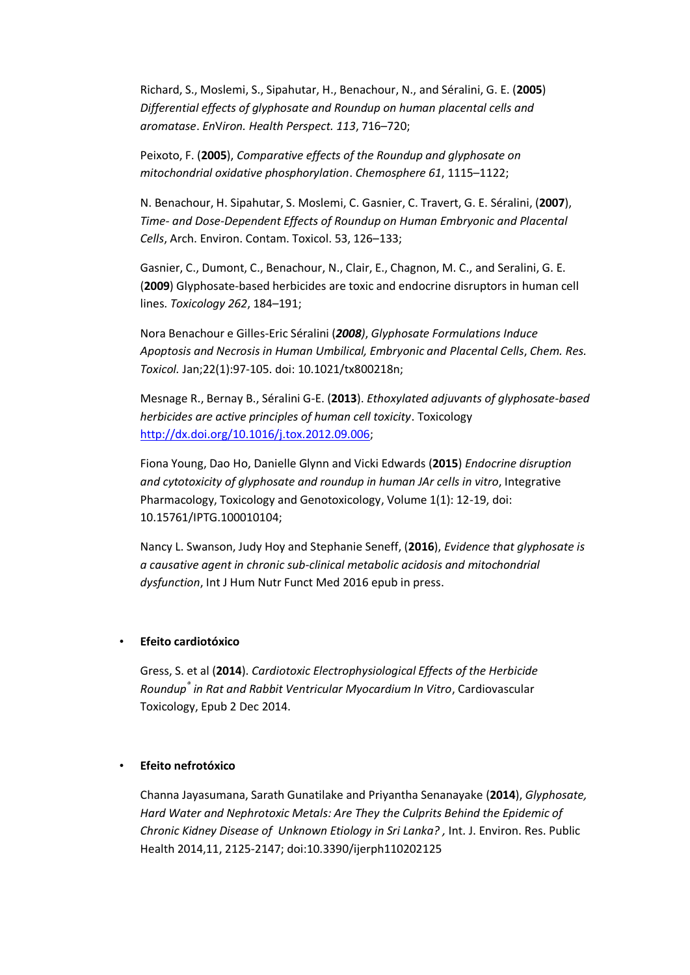Richard, S., Moslemi, S., Sipahutar, H., Benachour, N., and Séralini, G. E. (**2005**) *Differential effects of glyphosate and Roundup on human placental cells and aromatase*. *En*V*iron. Health Perspect. 113*, 716–720;

Peixoto, F. (**2005**), *Comparative effects of the Roundup and glyphosate on mitochondrial oxidative phosphorylation*. *Chemosphere 61*, 1115–1122;

N. Benachour, H. Sipahutar, S. Moslemi, C. Gasnier, C. Travert, G. E. Séralini, (**2007**), *Time- and Dose-Dependent Effects of Roundup on Human Embryonic and Placental Cells*, Arch. Environ. Contam. Toxicol. 53, 126–133;

Gasnier, C., Dumont, C., Benachour, N., Clair, E., Chagnon, M. C., and Seralini, G. E. (**2009**) Glyphosate-based herbicides are toxic and endocrine disruptors in human cell lines. *Toxicology 262*, 184–191;

Nora Benachour e Gilles-Eric Séralini (*2008)*, *Glyphosate Formulations Induce Apoptosis and Necrosis in Human Umbilical, Embryonic and Placental Cells*, *Chem. Res. Toxicol.* Jan;22(1):97-105. doi: 10.1021/tx800218n;

Mesnage R., Bernay B., Séralini G-E. (**2013**). *Ethoxylated adjuvants of glyphosate-based herbicides are active principles of human cell toxicity*. Toxicology [http://dx.doi.org/10.1016/j.tox.2012.09.006;](http://dx.doi.org/10.1016/j.tox.2012.09.006)

Fiona Young, Dao Ho, Danielle Glynn and Vicki Edwards (**2015**) *Endocrine disruption and cytotoxicity of glyphosate and roundup in human JAr cells in vitro*, Integrative Pharmacology, Toxicology and Genotoxicology, Volume 1(1): 12-19, doi: 10.15761/IPTG.100010104;

Nancy L. Swanson, Judy Hoy and Stephanie Seneff, (**2016**), *Evidence that glyphosate is a causative agent in chronic sub-clinical metabolic acidosis and mitochondrial dysfunction*, Int J Hum Nutr Funct Med 2016 epub in press.

#### • **Efeito cardiotóxico**

Gress, S. et al (**2014**). *Cardiotoxic Electrophysiological Effects of the Herbicide Roundup® in Rat and Rabbit Ventricular Myocardium In Vitro*, Cardiovascular Toxicology, Epub 2 Dec 2014.

#### • **Efeito nefrotóxico**

Channa Jayasumana, Sarath Gunatilake and Priyantha Senanayake (**2014**), *Glyphosate, Hard Water and Nephrotoxic Metals: Are They the Culprits Behind the Epidemic of Chronic Kidney Disease of Unknown Etiology in Sri Lanka?*, Int. J. Environ. Res. Public Health 2014,11, 2125-2147; doi:10.3390/ijerph110202125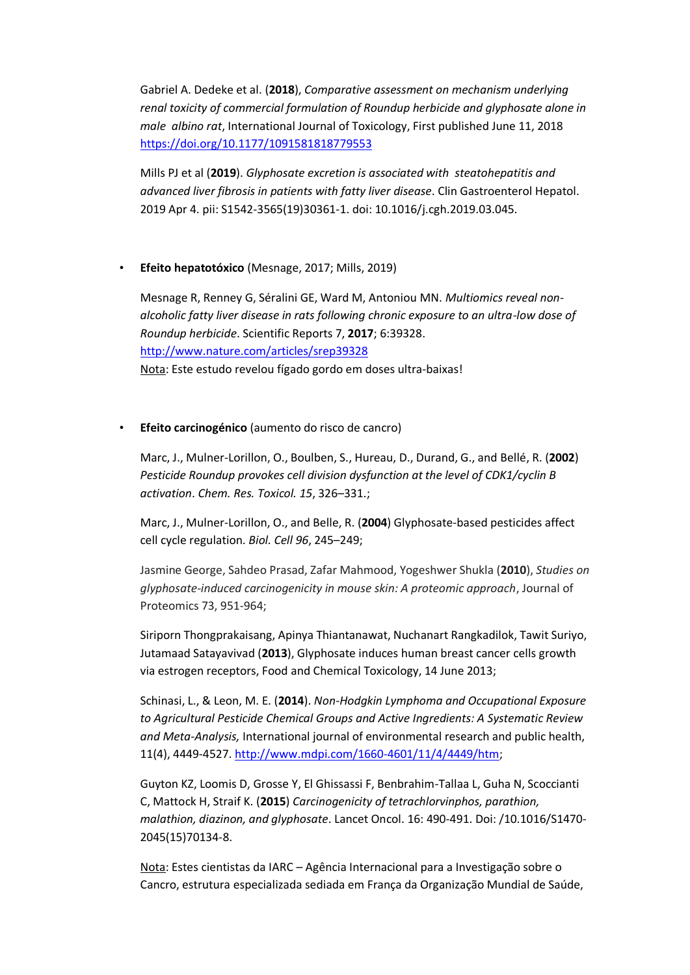Gabriel A. Dedeke et al. (**2018**), *Comparative assessment on mechanism underlying renal toxicity of commercial formulation of Roundup herbicide and glyphosate alone in male albino rat*, International Journal of Toxicology, First published June 11, 2018 <https://doi.org/10.1177/1091581818779553>

Mills PJ et al (**2019**). *Glyphosate excretion is associated with steatohepatitis and advanced liver fibrosis in patients with fatty liver disease*. Clin Gastroenterol Hepatol. 2019 Apr 4. pii: S1542-3565(19)30361-1. doi: 10.1016/j.cgh.2019.03.045.

# • **Efeito hepatotóxico** (Mesnage, 2017; Mills, 2019)

Mesnage R, Renney G, Séralini GE, Ward M, Antoniou MN. *Multiomics reveal nonalcoholic fatty liver disease in rats following chronic exposure to an ultra-low dose of Roundup herbicide*. Scientific Reports 7, **2017**; 6:39328. <http://www.nature.com/articles/srep39328> Nota: Este estudo revelou fígado gordo em doses ultra-baixas!

# • **Efeito carcinogénico** (aumento do risco de cancro)

Marc, J., Mulner-Lorillon, O., Boulben, S., Hureau, D., Durand, G., and Bellé, R. (**2002**) *Pesticide Roundup provokes cell division dysfunction at the level of CDK1/cyclin B activation*. *Chem. Res. Toxicol. 15*, 326–331.;

Marc, J., Mulner-Lorillon, O., and Belle, R. (**2004**) Glyphosate-based pesticides affect cell cycle regulation. *Biol. Cell 96*, 245–249;

Jasmine George, Sahdeo Prasad, Zafar Mahmood, Yogeshwer Shukla (**2010**), *Studies on glyphosate-induced carcinogenicity in mouse skin: A proteomic approach*, Journal of Proteomics 73, 951-964;

Siriporn Thongprakaisang, Apinya Thiantanawat, Nuchanart Rangkadilok, Tawit Suriyo, Jutamaad Satayavivad (**2013**), Glyphosate induces human breast cancer cells growth via estrogen receptors, Food and Chemical Toxicology, 14 June 2013;

Schinasi, L., & Leon, M. E. (**2014**). *Non-Hodgkin Lymphoma and Occupational Exposure to Agricultural Pesticide Chemical Groups and Active Ingredients: A Systematic Review and Meta-Analysis,* International journal of environmental research and public health, 11(4), 4449-4527. [http://www.mdpi.com/1660-4601/11/4/4449/htm;](http://www.mdpi.com/1660-4601/11/4/4449/htm)

Guyton KZ, Loomis D, Grosse Y, El Ghissassi F, Benbrahim-Tallaa L, Guha N, Scoccianti C, Mattock H, Straif K. (**2015**) *Carcinogenicity of tetrachlorvinphos, parathion, malathion, diazinon, and glyphosate*. Lancet Oncol. 16: 490-491. Doi: /10.1016/S1470- 2045(15)70134-8.

Nota: Estes cientistas da IARC – Agência Internacional para a Investigação sobre o Cancro, estrutura especializada sediada em França da Organização Mundial de Saúde,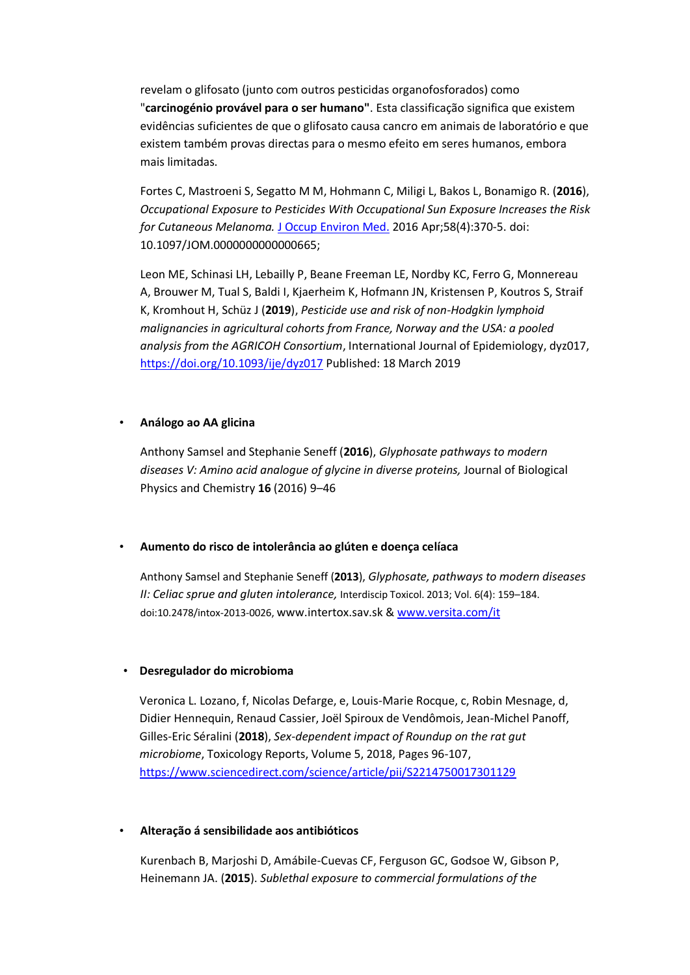revelam o glifosato (junto com outros pesticidas organofosforados) como "**carcinogénio provável para o ser humano"**. Esta classificação significa que existem evidências suficientes de que o glifosato causa cancro em animais de laboratório e que existem também provas directas para o mesmo efeito em seres humanos, embora mais limitadas.

[Fortes C,](https://www.ncbi.nlm.nih.gov/pubmed/?term=Fortes%20C%5BAuthor%5D&cauthor=true&cauthor_uid=27058477) [Mastroeni S,](https://www.ncbi.nlm.nih.gov/pubmed/?term=Mastroeni%20S%5BAuthor%5D&cauthor=true&cauthor_uid=27058477) [Segatto M M,](https://www.ncbi.nlm.nih.gov/pubmed/?term=Segatto%20M%20M%5BAuthor%5D&cauthor=true&cauthor_uid=27058477) [Hohmann C,](https://www.ncbi.nlm.nih.gov/pubmed/?term=Hohmann%20C%5BAuthor%5D&cauthor=true&cauthor_uid=27058477) [Miligi L,](https://www.ncbi.nlm.nih.gov/pubmed/?term=Miligi%20L%5BAuthor%5D&cauthor=true&cauthor_uid=27058477) [Bakos L,](https://www.ncbi.nlm.nih.gov/pubmed/?term=Bakos%20L%5BAuthor%5D&cauthor=true&cauthor_uid=27058477) [Bonamigo R.](https://www.ncbi.nlm.nih.gov/pubmed/?term=Bonamigo%20R%5BAuthor%5D&cauthor=true&cauthor_uid=27058477) (**2016**), *Occupational Exposure to Pesticides With Occupational Sun Exposure Increases the Risk for Cutaneous Melanoma.* [J Occup Environ Med.](https://www.ncbi.nlm.nih.gov/pubmed/27058477?utm_content=buffer5d18) 2016 Apr;58(4):370-5. doi: 10.1097/JOM.0000000000000665;

[Leon ME,](https://www.ncbi.nlm.nih.gov/pubmed/?term=Leon%20ME%5BAuthor%5D&cauthor=true&cauthor_uid=30880337) [Schinasi LH,](https://www.ncbi.nlm.nih.gov/pubmed/?term=Schinasi%20LH%5BAuthor%5D&cauthor=true&cauthor_uid=30880337) [Lebailly P,](https://www.ncbi.nlm.nih.gov/pubmed/?term=Lebailly%20P%5BAuthor%5D&cauthor=true&cauthor_uid=30880337) [Beane Freeman LE,](https://www.ncbi.nlm.nih.gov/pubmed/?term=Beane%20Freeman%20LE%5BAuthor%5D&cauthor=true&cauthor_uid=30880337) [Nordby KC,](https://www.ncbi.nlm.nih.gov/pubmed/?term=Nordby%20KC%5BAuthor%5D&cauthor=true&cauthor_uid=30880337) [Ferro G,](https://www.ncbi.nlm.nih.gov/pubmed/?term=Ferro%20G%5BAuthor%5D&cauthor=true&cauthor_uid=30880337) [Monnereau](https://www.ncbi.nlm.nih.gov/pubmed/?term=Monnereau%20A%5BAuthor%5D&cauthor=true&cauthor_uid=30880337)  [A,](https://www.ncbi.nlm.nih.gov/pubmed/?term=Monnereau%20A%5BAuthor%5D&cauthor=true&cauthor_uid=30880337) [Brouwer M,](https://www.ncbi.nlm.nih.gov/pubmed/?term=Brouwer%20M%5BAuthor%5D&cauthor=true&cauthor_uid=30880337) [Tual S,](https://www.ncbi.nlm.nih.gov/pubmed/?term=Tual%20S%5BAuthor%5D&cauthor=true&cauthor_uid=30880337) [Baldi I,](https://www.ncbi.nlm.nih.gov/pubmed/?term=Baldi%20I%5BAuthor%5D&cauthor=true&cauthor_uid=30880337) [Kjaerheim K,](https://www.ncbi.nlm.nih.gov/pubmed/?term=Kjaerheim%20K%5BAuthor%5D&cauthor=true&cauthor_uid=30880337) [Hofmann JN,](https://www.ncbi.nlm.nih.gov/pubmed/?term=Hofmann%20JN%5BAuthor%5D&cauthor=true&cauthor_uid=30880337) [Kristensen P,](https://www.ncbi.nlm.nih.gov/pubmed/?term=Kristensen%20P%5BAuthor%5D&cauthor=true&cauthor_uid=30880337) [Koutros S,](https://www.ncbi.nlm.nih.gov/pubmed/?term=Koutros%20S%5BAuthor%5D&cauthor=true&cauthor_uid=30880337) [Straif](https://www.ncbi.nlm.nih.gov/pubmed/?term=Straif%20K%5BAuthor%5D&cauthor=true&cauthor_uid=30880337)  [K,](https://www.ncbi.nlm.nih.gov/pubmed/?term=Straif%20K%5BAuthor%5D&cauthor=true&cauthor_uid=30880337) [Kromhout H,](https://www.ncbi.nlm.nih.gov/pubmed/?term=Kromhout%20H%5BAuthor%5D&cauthor=true&cauthor_uid=30880337) [Schüz J](https://www.ncbi.nlm.nih.gov/pubmed/?term=Sch%C3%BCz%20J%5BAuthor%5D&cauthor=true&cauthor_uid=30880337) (**2019**), *Pesticide use and risk of non-Hodgkin lymphoid malignancies in agricultural cohorts from France, Norway and the USA: a pooled analysis from the AGRICOH Consortium*, International Journal of Epidemiology, dyz017, <https://doi.org/10.1093/ije/dyz017> Published: 18 March 2019

#### • **Análogo ao AA glicina**

Anthony Samsel and Stephanie Seneff (**2016**), *Glyphosate pathways to modern diseases V: Amino acid analogue of glycine in diverse proteins,* Journal of Biological Physics and Chemistry **16** (2016) 9–46

#### • **Aumento do risco de intolerância ao glúten e doença celíaca**

Anthony Samsel and Stephanie Seneff (**2013**), *Glyphosate, pathways to modern diseases II: Celiac sprue and gluten intolerance,* Interdiscip Toxicol. 2013; Vol. 6(4): 159–184. doi:10.2478/intox-2013-0026, www.intertox.sav.sk & [www.versita.com/it](http://www.versita.com/it)

#### • **Desregulador do microbioma**

Veronica L. Lozano, f, Nicolas Defarge, e, Louis-Marie Rocque, c, Robin Mesnage, d, Didier Hennequin, Renaud Cassier, Joël Spiroux de Vendômois, Jean-Michel Panoff, Gilles-Eric Séralini (**2018**), *Sex-dependent impact of Roundup on the rat gut microbiome*, Toxicology Reports, Volume 5, 2018, Pages 96-107, <https://www.sciencedirect.com/science/article/pii/S2214750017301129>

#### • **Alteração á sensibilidade aos antibióticos**

Kurenbach B, Marjoshi D, Amábile-Cuevas CF, Ferguson GC, Godsoe W, Gibson P, Heinemann JA. (**2015**). *Sublethal exposure to commercial formulations of the*